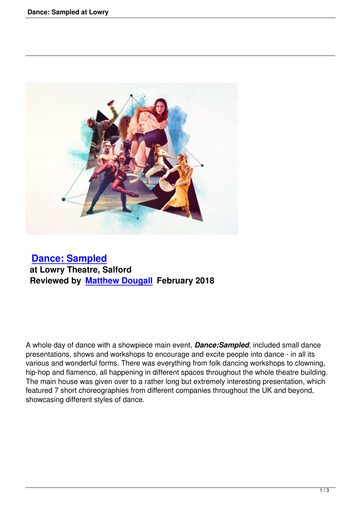

## **Dance: Sampled at Lowry Theatre, Salford [Reviewed by Matth](dance-sampled-at-lowry.html)ew Dougall February 2018**

A whole day of dance with a showpiece main event, *Dance:Sampled*, included small dance presentations, shows and workshops to encourage and excite people into dance - in all its various and wonderful forms. There was everything from folk dancing workshops to clowning, hip-hop and flamenco, all happening in different spaces throughout the whole theatre building. The main house was given over to a rather long but extremely interesting presentation, which featured 7 short choreographies from different companies throughout the UK and beyond, showcasing different styles of dance.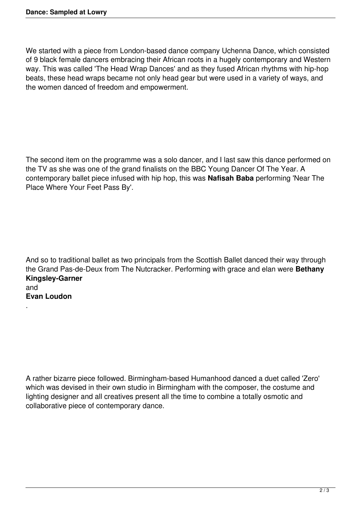.

We started with a piece from London-based dance company Uchenna Dance, which consisted of 9 black female dancers embracing their African roots in a hugely contemporary and Western way. This was called 'The Head Wrap Dances' and as they fused African rhythms with hip-hop beats, these head wraps became not only head gear but were used in a variety of ways, and the women danced of freedom and empowerment.

The second item on the programme was a solo dancer, and I last saw this dance performed on the TV as she was one of the grand finalists on the BBC Young Dancer Of The Year. A contemporary ballet piece infused with hip hop, this was **Nafisah Baba** performing 'Near The Place Where Your Feet Pass By'.

And so to traditional ballet as two principals from the Scottish Ballet danced their way through the Grand Pas-de-Deux from The Nutcracker. Performing with grace and elan were **Bethany Kingsley-Garner** and **Evan Loudon**

A rather bizarre piece followed. Birmingham-based Humanhood danced a duet called 'Zero' which was devised in their own studio in Birmingham with the composer, the costume and lighting designer and all creatives present all the time to combine a totally osmotic and collaborative piece of contemporary dance.